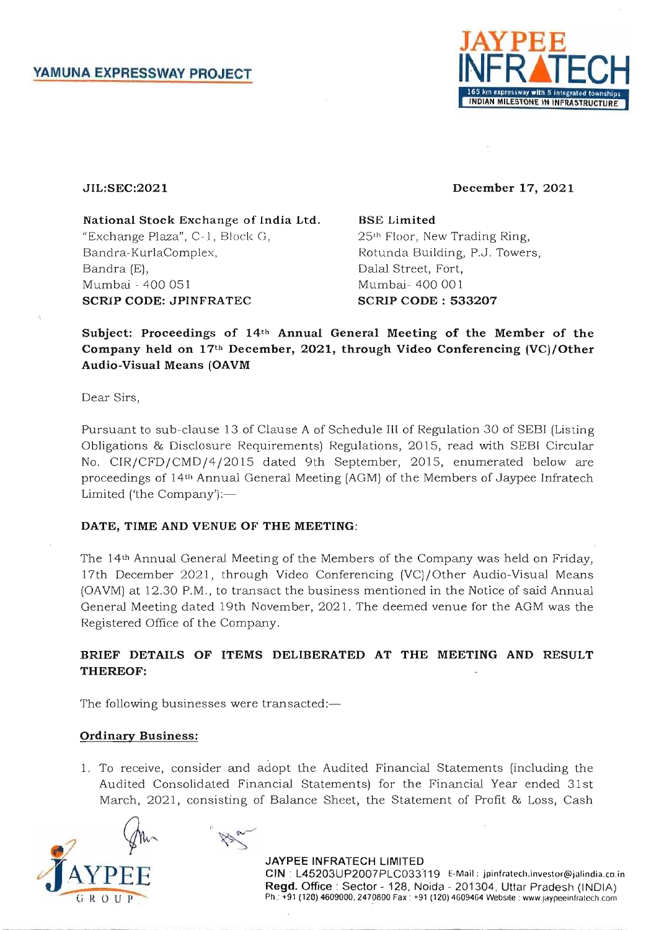

#### JIL:SEC:2021

December 17, 2021

National Stock Exchange of india Ltd. "Exchange Plaza", C-l, Block G, Bandra-KurlaComplex, Bandra (E), Mumbai - 400 051 SCRIP CODE: JPINFRATEC

BSE Limited 251h Floor, New Trading Ring, Rotunda Building, P.J. Towers, Dalal Street, Fort, Mumbai- 400 001 SCRIP CODE: 533207

Subject: Proceedings of 14th Annual General Meeting of the Member of the Company held on 17th December, 2021, through Video Conferencing (VC)/Other Audio-Visual Means (OAVM

Dear Sirs,

Pursuant to sub-clause 13 of Clause A of Schedule III of Regulation 30 of SEBI (Listing Obligations & Disclosure Requirements) Regulations, 2015, read with SEBI Circular No. CIR/CFD/CMD/4/2015 dated 9th September, 2015, enumerated below are proceedings of 14th Annual General Meeting (AGM) of the Members of Jaypee Infratech Limited ('the Company'):-

### DATE, TIME AND VENUE OF THE MEETING:

The 14th Annual General Meeting of the Members of the Company was held on Friday, 17th December 2021, through Video Conferencing (VC)/Other Audio-Visual Means (OAVM) at 12.30 P.M., to transact the business mentioned in the Notice of said Annual General Meeting dated 19th November, 2021. The deemed venue for the AGM was the Registered Office of the Company.

# BRIEF DETAILS OF ITEMS DELIBERATED AT THE MEETING AND RESULT THEREOF:

The following businesses were transacted:-

# Ordinary Business:

1. To receive, consider and adopt the Audited Financial Statements (including the Audited Consolidated Financial Statements) for the Financial Year ended 31st March, 2021, consisting of Balance Sheet, the Statement of Profit & Loss, Cash



JAYPEE INFRATECH LIMITED CIN: L45203UP2007PLC033119 E-Mail: jpinfratech.investor@jalindia.co.in Regd. Office: Sector - 128, Noida - 201304, Uttar Pradesh (INDIA) Ph.: +91 (120) 4609000, 2470800 Fax: +91 (120) 4609464 Website: www.jaypeeinfratech.com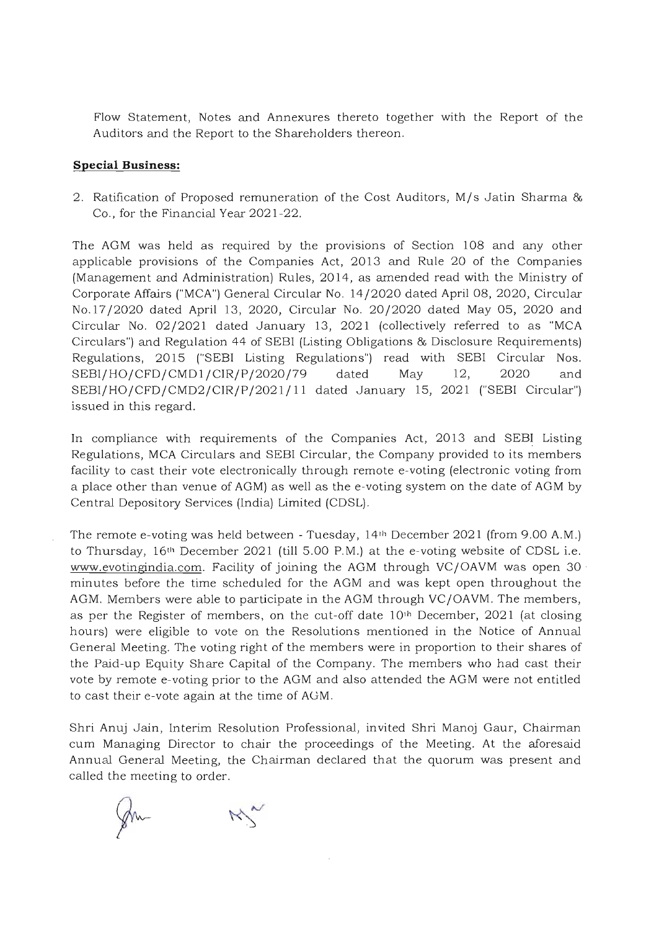Flow Statement, Notes and Annexures thereto together with the Report of the Auditors and the Report to the Shareholders thereon.

#### **Special Business:**

2. Ratification of Proposed remuneration of the Cost Auditors, M/s Jatin Sharma & Co., for the Financial Year 2021-22.

The AGM was held as required by the provisions of Section 108 and any other applicable provisions of the Companies Act, 2013 and Rule 20 of the Companies (Management and Administration) Rules, 2014, as amended read with the Ministry of Corporate Affairs ("MCA") General Circular No. 14/2020 dated April 08, 2020, Circular No.17/2020 dated April 13, 2020, Circular No . 20/2020 dated May OS, 2020 and Circular No. 02/2021 dated January 13, 2021 (collectively referred to as "MCA Circulars") and Regulation 44 of SEBI (Listing Obligations & Disclosure Requirements) Regulations, 2015 ("SEBI Listing Regulations") read with SEBI Circular Nos. SEBI/HO/CFD/CMD1/CIR/P/2020/79 dated May 12, 2020 and SEBI/HO/CFD/CMD2/CIR/P/2021/11 dated January 15, 2021 ("SEBI Circular") issued in this regard.

In compliance with requirements of the Companies Act, 2013 and SEBI Listing Regulations, MCA Circulars and SEBI Circular, the Company provided to its members facility to cast their vote electronically through remote e-voting (electronic voting from a place other than venue of AGM) as well as the e-voting system on the date of AGM by Central Depository Services (India) Limited (CDSL).

The remote e-voting was held between - Tuesday, 14th December 2021 (from 9.00 A.M.) to Thursday, 16th December 2021 (till 5.00 P.M.) at the e-voting website of CDSL i.e. www.evotingindia.com. Facility of joining the AGM through VC/OAVM was open 30 minutes before the time scheduled for the AGM and was kept open throughout the AGM. Members were able to participate in the AGM through VC/OAVM. The members, as per the Register of members, on the cut-off date  $10<sup>th</sup>$  December, 2021 (at closing hours) were eligible to vote on the Resolutions mentioned in the Notice of Annual General Meeting. The voting right of the members were in proportion to their shares of the Paid-up Equity Share Capital of the Company. The members who had cast their vote by remote e-voting prior to the AGM and also attended the AGM were not entitled to cast their e-vote again at the time of AGM.

Shri Anuj Jain, Interim Resolution Professional, invited Shri Manoj Gaur, Chairman cum Managing Director to chair the proceedings of the Meeting. At the aforesaid Annual General Meeting, the Chairman declared that the quorum was present and called the meeting to order.

fm-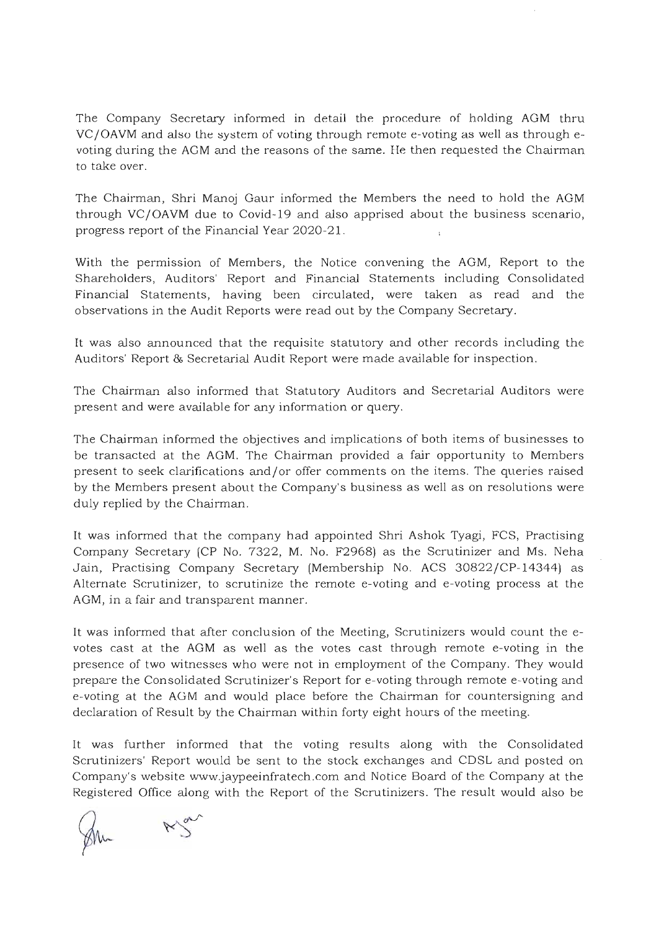The Company Secretary informed in detail the procedure of holding AGM thru VC/OAVM and also the system of voting through remote e-voting as well as through evoting during the AGM and the reasons of the same. He then requested the Chairman to take over.

The Chairman, Shri Manoj Gaur informed the Members the need to hold the AGM through VC/OAVM due to Covid-19 and also apprised about the business scenario, progress report of the Financial Year 2020-21.

With the permission of Members, the Notice convening the AGM, Report to the Shareholders, Auditors' Report and Financial Statements including Consolidated Financial Statements, having been circulated, were taken as read and the observations in the Audit Reports were read out by the Company Secretary.

It was also announced that the requisite statu tory and other records including the Auditors' Report & Secretarial Audit Report were made available for inspection.

The Chairman also informed that Statutory Auditors and Secretarial Auditors were present and were available for any information or query.

The Chairman informed the objectives and implications of both items of businesses to be transacted at the AGM. The Chairman provided a fair opportunity to Members present to seek clarifications and/or offer comments on the items. The queries raised by the Members present about the Company's business as well as on resolutions were duly replied by the Chairman.

It was informed that the company had appointed Shri Ashok Tyagi, FCS, Practising Company Secretary (CP No. 7322, M. No. F2968) as the Scrutinizer and Ms. Neha Jain, Practising Company Secretary (Membership No . ACS 30822/CP-14344) as Alternate Scrutinizer, to scrutinize the remote e-voting and e-voting process at the AGM, in a fair and transparent manner.

It was informed that after conclusion of the Meeting, Scrutinizers would count the evotes cast at the AGM as well as the votes cast through remote e-voting in the presence of two witnesses who were not in employment of the Company. They would prepare the Consolidated Scrutinizer's Report for e-voting through remote e-voting and e-voting at the AGM and would place before the Chairman for countersigning and declaration of Result by the Chairman within forty eight hours of the meeting.

It was further informed that the voting results along with the Consolidated Scrutinizers' Report would be sent to the stock exchanges and CDSL and posted on Company's website www.jaypeeinfratech.com and Notice Board of the Company at the Registered Office along with the Report of the Scrutinizers. The result would also be